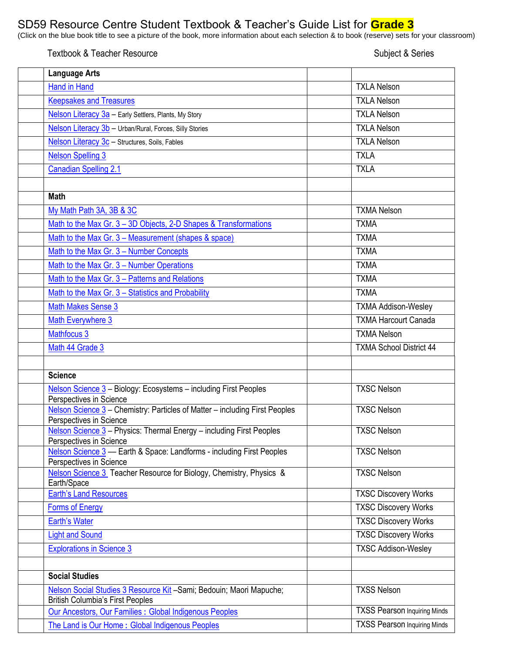## SD59 Resource Centre Student Textbook & Teacher's Guide List for **Grade 3**

(Click on the blue book title to see a picture of the book, more information about each selection & to book (reserve) sets for your classroom)

## Textbook & Teacher Resource Subject & Series

| <b>Language Arts</b>                                                                                            |                                     |
|-----------------------------------------------------------------------------------------------------------------|-------------------------------------|
| <b>Hand in Hand</b>                                                                                             | <b>TXLA Nelson</b>                  |
| <b>Keepsakes and Treasures</b>                                                                                  | <b>TXLA Nelson</b>                  |
| Nelson Literacy 3a - Early Settlers, Plants, My Story                                                           | <b>TXLA Nelson</b>                  |
| Nelson Literacy 3b - Urban/Rural, Forces, Silly Stories                                                         | <b>TXLA Nelson</b>                  |
| Nelson Literacy 3c - Structures, Soils, Fables                                                                  | <b>TXLA Nelson</b>                  |
| <b>Nelson Spelling 3</b>                                                                                        | <b>TXLA</b>                         |
| <b>Canadian Spelling 2.1</b>                                                                                    | <b>TXLA</b>                         |
|                                                                                                                 |                                     |
| <b>Math</b>                                                                                                     |                                     |
| My Math Path 3A, 3B & 3C                                                                                        | <b>TXMA Nelson</b>                  |
| Math to the Max Gr. 3 - 3D Objects, 2-D Shapes & Transformations                                                | <b>TXMA</b>                         |
| Math to the Max Gr. 3 – Measurement (shapes & space)                                                            | <b>TXMA</b>                         |
| Math to the Max Gr. 3 - Number Concepts                                                                         | <b>TXMA</b>                         |
| Math to the Max Gr. 3 - Number Operations                                                                       | <b>TXMA</b>                         |
| Math to the Max Gr. 3 - Patterns and Relations                                                                  | <b>TXMA</b>                         |
| Math to the Max Gr. 3 - Statistics and Probability                                                              | <b>TXMA</b>                         |
| <b>Math Makes Sense 3</b>                                                                                       | <b>TXMA Addison-Wesley</b>          |
| Math Everywhere 3                                                                                               | <b>TXMA Harcourt Canada</b>         |
| <b>Mathfocus 3</b>                                                                                              | <b>TXMA Nelson</b>                  |
| Math 44 Grade 3                                                                                                 | <b>TXMA School District 44</b>      |
|                                                                                                                 |                                     |
| <b>Science</b>                                                                                                  |                                     |
| Nelson Science 3 - Biology: Ecosystems - including First Peoples<br>Perspectives in Science                     | <b>TXSC Nelson</b>                  |
| Nelson Science 3 - Chemistry: Particles of Matter - including First Peoples<br>Perspectives in Science          | <b>TXSC Nelson</b>                  |
| Nelson Science 3 - Physics: Thermal Energy - including First Peoples<br>Perspectives in Science                 | <b>TXSC Nelson</b>                  |
| Nelson Science 3 - Earth & Space: Landforms - including First Peoples<br>Perspectives in Science                | <b>TXSC Nelson</b>                  |
| Nelson Science 3 Teacher Resource for Biology, Chemistry, Physics &<br>Earth/Space                              | <b>TXSC Nelson</b>                  |
| <b>Earth's Land Resources</b>                                                                                   | <b>TXSC Discovery Works</b>         |
| <b>Forms of Energy</b>                                                                                          | <b>TXSC Discovery Works</b>         |
| <b>Earth's Water</b>                                                                                            | <b>TXSC Discovery Works</b>         |
| <b>Light and Sound</b>                                                                                          | <b>TXSC Discovery Works</b>         |
| <b>Explorations in Science 3</b>                                                                                | <b>TXSC Addison-Wesley</b>          |
| <b>Social Studies</b>                                                                                           |                                     |
| Nelson Social Studies 3 Resource Kit - Sami; Bedouin; Maori Mapuche;<br><b>British Columbia's First Peoples</b> | <b>TXSS Nelson</b>                  |
| Our Ancestors, Our Families : Global Indigenous Peoples                                                         | <b>TXSS Pearson Inquiring Minds</b> |
| The Land is Our Home: Global Indigenous Peoples                                                                 | <b>TXSS Pearson Inquiring Minds</b> |